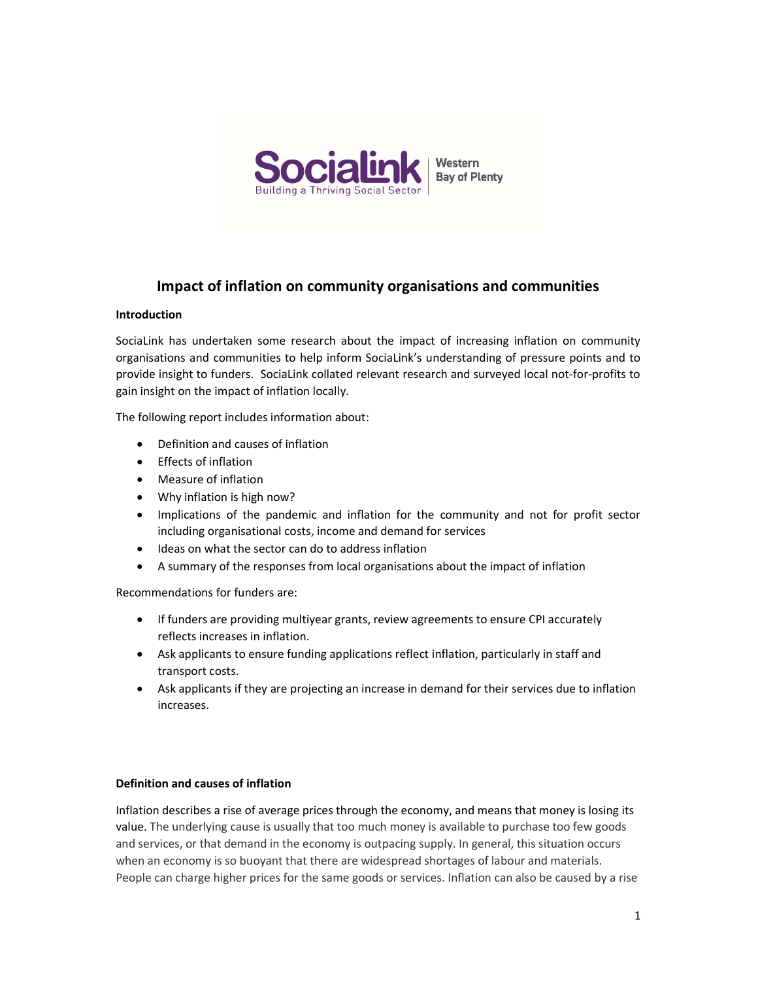

## Impact of inflation on community organisations and communities

#### **Introduction**

SociaLink has undertaken some research about the impact of increasing inflation on community organisations and communities to help inform SociaLink's understanding of pressure points and to provide insight to funders. SociaLink collated relevant research and surveyed local not-for-profits to gain insight on the impact of inflation locally.

The following report includes information about:

- Definition and causes of inflation
- Fffects of inflation
- Measure of inflation
- Why inflation is high now?
- Implications of the pandemic and inflation for the community and not for profit sector including organisational costs, income and demand for services
- Ideas on what the sector can do to address inflation
- A summary of the responses from local organisations about the impact of inflation

Recommendations for funders are:

- If funders are providing multiyear grants, review agreements to ensure CPI accurately reflects increases in inflation.
- Ask applicants to ensure funding applications reflect inflation, particularly in staff and transport costs.
- Ask applicants if they are projecting an increase in demand for their services due to inflation increases.

#### Definition and causes of inflation

Inflation describes a rise of average prices through the economy, and means that money is losing its value. The underlying cause is usually that too much money is available to purchase too few goods and services, or that demand in the economy is outpacing supply. In general, this situation occurs when an economy is so buoyant that there are widespread shortages of labour and materials. People can charge higher prices for the same goods or services. Inflation can also be caused by a rise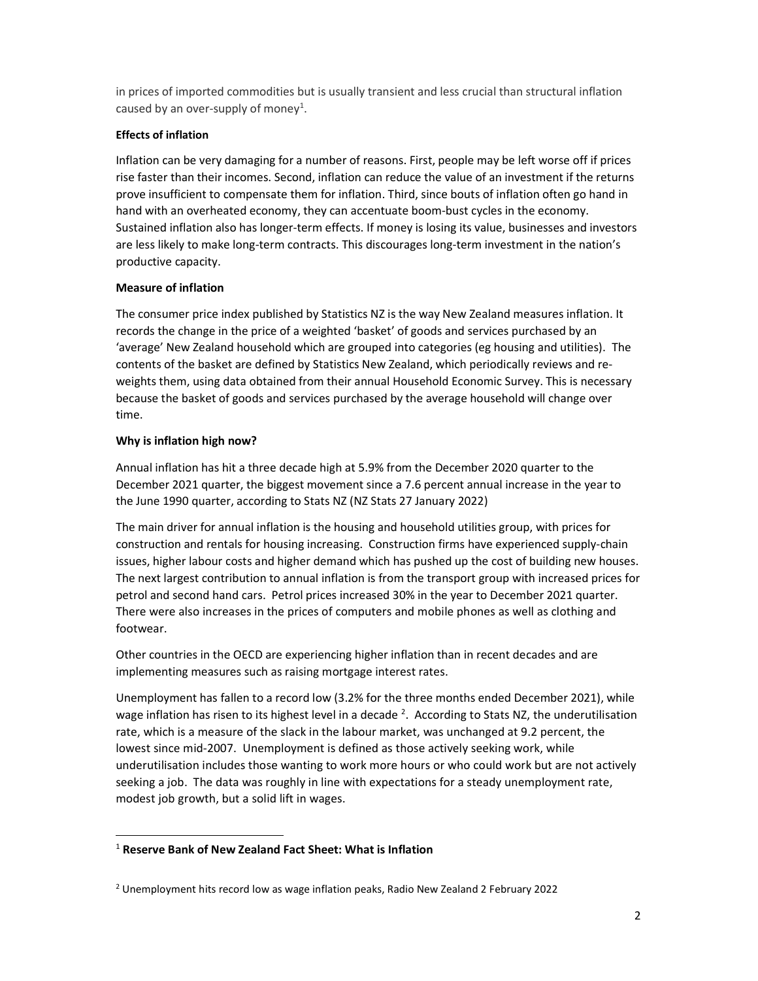in prices of imported commodities but is usually transient and less crucial than structural inflation caused by an over-supply of money<sup>1</sup>.

#### Effects of inflation

Inflation can be very damaging for a number of reasons. First, people may be left worse off if prices rise faster than their incomes. Second, inflation can reduce the value of an investment if the returns prove insufficient to compensate them for inflation. Third, since bouts of inflation often go hand in hand with an overheated economy, they can accentuate boom-bust cycles in the economy. Sustained inflation also has longer-term effects. If money is losing its value, businesses and investors are less likely to make long-term contracts. This discourages long-term investment in the nation's productive capacity.

#### Measure of inflation

The consumer price index published by Statistics NZ is the way New Zealand measures inflation. It records the change in the price of a weighted 'basket' of goods and services purchased by an 'average' New Zealand household which are grouped into categories (eg housing and utilities). The contents of the basket are defined by Statistics New Zealand, which periodically reviews and reweights them, using data obtained from their annual Household Economic Survey. This is necessary because the basket of goods and services purchased by the average household will change over time.

#### Why is inflation high now?

 $\overline{a}$ 

Annual inflation has hit a three decade high at 5.9% from the December 2020 quarter to the December 2021 quarter, the biggest movement since a 7.6 percent annual increase in the year to the June 1990 quarter, according to Stats NZ (NZ Stats 27 January 2022)

The main driver for annual inflation is the housing and household utilities group, with prices for construction and rentals for housing increasing. Construction firms have experienced supply-chain issues, higher labour costs and higher demand which has pushed up the cost of building new houses. The next largest contribution to annual inflation is from the transport group with increased prices for petrol and second hand cars. Petrol prices increased 30% in the year to December 2021 quarter. There were also increases in the prices of computers and mobile phones as well as clothing and footwear.

Other countries in the OECD are experiencing higher inflation than in recent decades and are implementing measures such as raising mortgage interest rates.

Unemployment has fallen to a record low (3.2% for the three months ended December 2021), while wage inflation has risen to its highest level in a decade  $^2$ . According to Stats NZ, the underutilisation rate, which is a measure of the slack in the labour market, was unchanged at 9.2 percent, the lowest since mid-2007. Unemployment is defined as those actively seeking work, while underutilisation includes those wanting to work more hours or who could work but are not actively seeking a job. The data was roughly in line with expectations for a steady unemployment rate, modest job growth, but a solid lift in wages.

<sup>&</sup>lt;sup>1</sup> Reserve Bank of New Zealand Fact Sheet: What is Inflation

<sup>2</sup> Unemployment hits record low as wage inflation peaks, Radio New Zealand 2 February 2022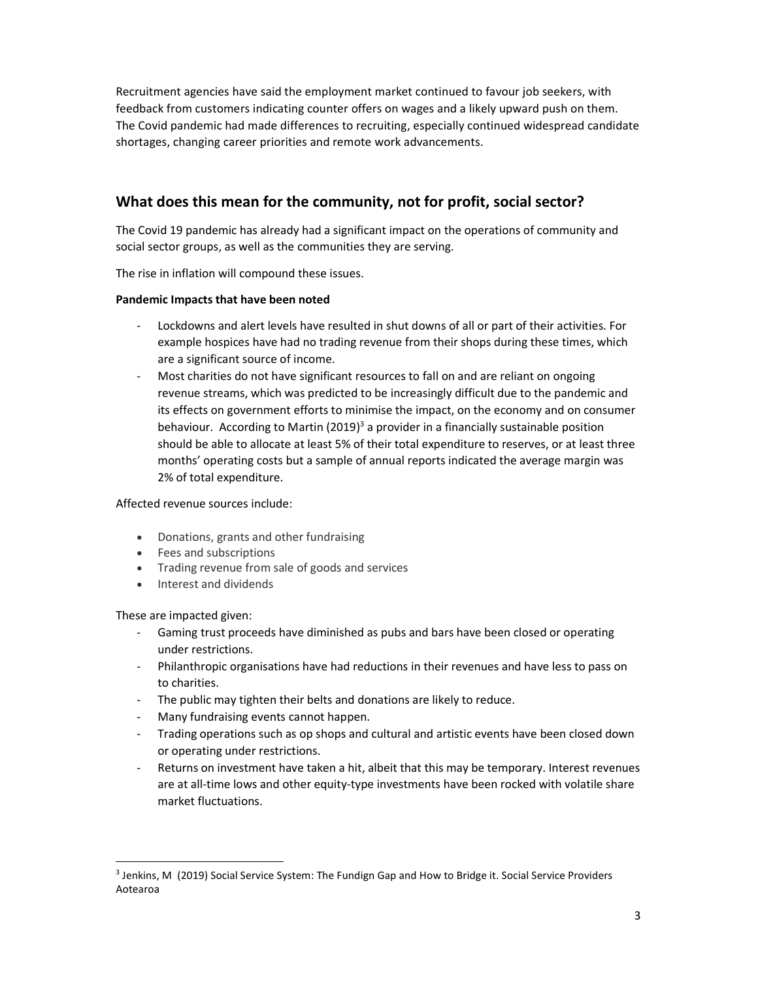Recruitment agencies have said the employment market continued to favour job seekers, with feedback from customers indicating counter offers on wages and a likely upward push on them. The Covid pandemic had made differences to recruiting, especially continued widespread candidate shortages, changing career priorities and remote work advancements.

# What does this mean for the community, not for profit, social sector?

The Covid 19 pandemic has already had a significant impact on the operations of community and social sector groups, as well as the communities they are serving.

The rise in inflation will compound these issues.

### Pandemic Impacts that have been noted

- Lockdowns and alert levels have resulted in shut downs of all or part of their activities. For example hospices have had no trading revenue from their shops during these times, which are a significant source of income.
- Most charities do not have significant resources to fall on and are reliant on ongoing revenue streams, which was predicted to be increasingly difficult due to the pandemic and its effects on government efforts to minimise the impact, on the economy and on consumer behaviour. According to Martin (2019)<sup>3</sup> a provider in a financially sustainable position should be able to allocate at least 5% of their total expenditure to reserves, or at least three months' operating costs but a sample of annual reports indicated the average margin was 2% of total expenditure.

### Affected revenue sources include:

- Donations, grants and other fundraising
- Fees and subscriptions
- Trading revenue from sale of goods and services
- Interest and dividends

#### These are impacted given:

 $\overline{a}$ 

- Gaming trust proceeds have diminished as pubs and bars have been closed or operating under restrictions.
- Philanthropic organisations have had reductions in their revenues and have less to pass on to charities.
- The public may tighten their belts and donations are likely to reduce.
- Many fundraising events cannot happen.
- Trading operations such as op shops and cultural and artistic events have been closed down or operating under restrictions.
- Returns on investment have taken a hit, albeit that this may be temporary. Interest revenues are at all-time lows and other equity-type investments have been rocked with volatile share market fluctuations.

<sup>3</sup> Jenkins, M (2019) Social Service System: The Fundign Gap and How to Bridge it. Social Service Providers Aotearoa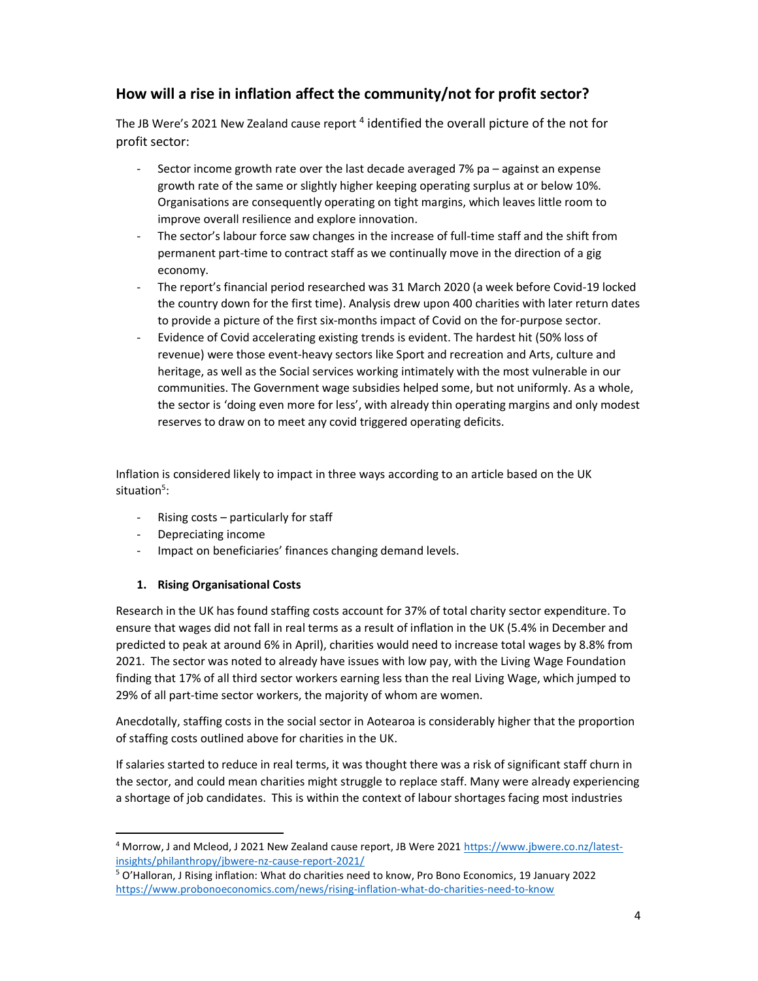# How will a rise in inflation affect the community/not for profit sector?

The JB Were's 2021 New Zealand cause report <sup>4</sup> identified the overall picture of the not for profit sector:

- Sector income growth rate over the last decade averaged 7% pa against an expense growth rate of the same or slightly higher keeping operating surplus at or below 10%. Organisations are consequently operating on tight margins, which leaves little room to improve overall resilience and explore innovation.
- The sector's labour force saw changes in the increase of full-time staff and the shift from permanent part-time to contract staff as we continually move in the direction of a gig economy.
- The report's financial period researched was 31 March 2020 (a week before Covid-19 locked the country down for the first time). Analysis drew upon 400 charities with later return dates to provide a picture of the first six-months impact of Covid on the for-purpose sector.
- Evidence of Covid accelerating existing trends is evident. The hardest hit (50% loss of revenue) were those event-heavy sectors like Sport and recreation and Arts, culture and heritage, as well as the Social services working intimately with the most vulnerable in our communities. The Government wage subsidies helped some, but not uniformly. As a whole, the sector is 'doing even more for less', with already thin operating margins and only modest reserves to draw on to meet any covid triggered operating deficits.

Inflation is considered likely to impact in three ways according to an article based on the UK situation<sup>5</sup>:

- Rising costs particularly for staff
- Depreciating income

 $\overline{a}$ 

- Impact on beneficiaries' finances changing demand levels.

### 1. Rising Organisational Costs

Research in the UK has found staffing costs account for 37% of total charity sector expenditure. To ensure that wages did not fall in real terms as a result of inflation in the UK (5.4% in December and predicted to peak at around 6% in April), charities would need to increase total wages by 8.8% from 2021. The sector was noted to already have issues with low pay, with the Living Wage Foundation finding that 17% of all third sector workers earning less than the real Living Wage, which jumped to 29% of all part-time sector workers, the majority of whom are women.

Anecdotally, staffing costs in the social sector in Aotearoa is considerably higher that the proportion of staffing costs outlined above for charities in the UK.

If salaries started to reduce in real terms, it was thought there was a risk of significant staff churn in the sector, and could mean charities might struggle to replace staff. Many were already experiencing a shortage of job candidates. This is within the context of labour shortages facing most industries

<sup>&</sup>lt;sup>4</sup> Morrow, J and Mcleod, J 2021 New Zealand cause report, JB Were 2021 https://www.jbwere.co.nz/latestinsights/philanthropy/jbwere-nz-cause-report-2021/

<sup>&</sup>lt;sup>5</sup> O'Halloran, J Rising inflation: What do charities need to know, Pro Bono Economics, 19 January 2022 https://www.probonoeconomics.com/news/rising-inflation-what-do-charities-need-to-know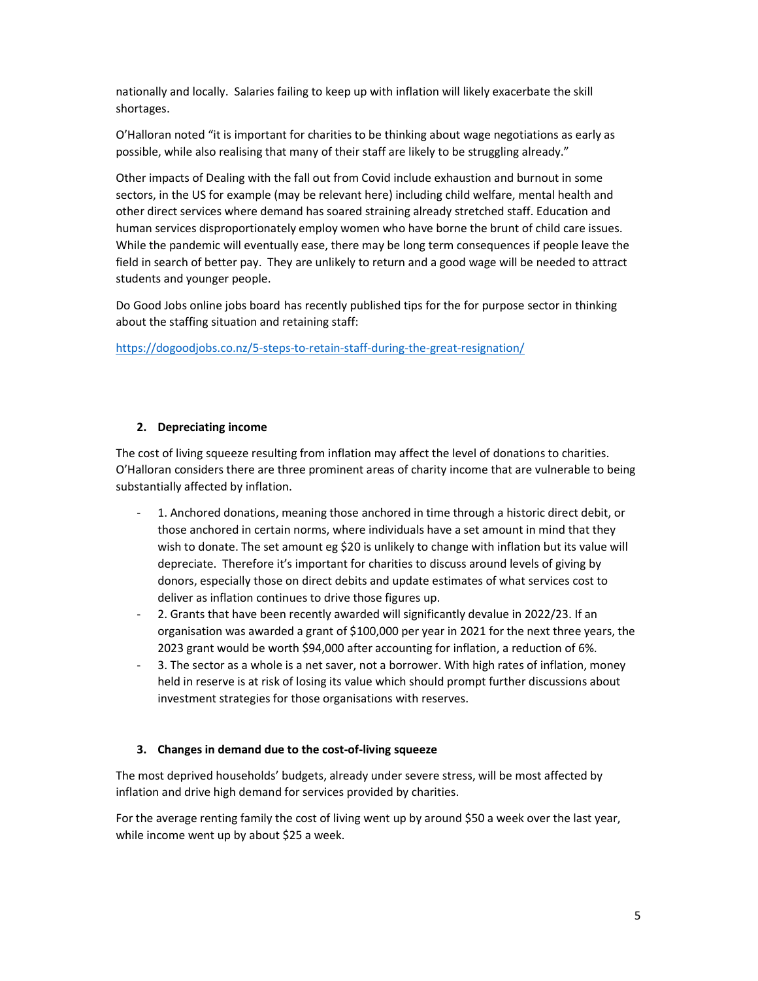nationally and locally. Salaries failing to keep up with inflation will likely exacerbate the skill shortages.

O'Halloran noted "it is important for charities to be thinking about wage negotiations as early as possible, while also realising that many of their staff are likely to be struggling already."

Other impacts of Dealing with the fall out from Covid include exhaustion and burnout in some sectors, in the US for example (may be relevant here) including child welfare, mental health and other direct services where demand has soared straining already stretched staff. Education and human services disproportionately employ women who have borne the brunt of child care issues. While the pandemic will eventually ease, there may be long term consequences if people leave the field in search of better pay. They are unlikely to return and a good wage will be needed to attract students and younger people.

Do Good Jobs online jobs board has recently published tips for the for purpose sector in thinking about the staffing situation and retaining staff:

https://dogoodjobs.co.nz/5-steps-to-retain-staff-during-the-great-resignation/

#### 2. Depreciating income

The cost of living squeeze resulting from inflation may affect the level of donations to charities. O'Halloran considers there are three prominent areas of charity income that are vulnerable to being substantially affected by inflation.

- 1. Anchored donations, meaning those anchored in time through a historic direct debit, or those anchored in certain norms, where individuals have a set amount in mind that they wish to donate. The set amount eg \$20 is unlikely to change with inflation but its value will depreciate. Therefore it's important for charities to discuss around levels of giving by donors, especially those on direct debits and update estimates of what services cost to deliver as inflation continues to drive those figures up.
- 2. Grants that have been recently awarded will significantly devalue in 2022/23. If an organisation was awarded a grant of \$100,000 per year in 2021 for the next three years, the 2023 grant would be worth \$94,000 after accounting for inflation, a reduction of 6%.
- 3. The sector as a whole is a net saver, not a borrower. With high rates of inflation, money held in reserve is at risk of losing its value which should prompt further discussions about investment strategies for those organisations with reserves.

#### 3. Changes in demand due to the cost-of-living squeeze

The most deprived households' budgets, already under severe stress, will be most affected by inflation and drive high demand for services provided by charities.

For the average renting family the cost of living went up by around \$50 a week over the last year, while income went up by about \$25 a week.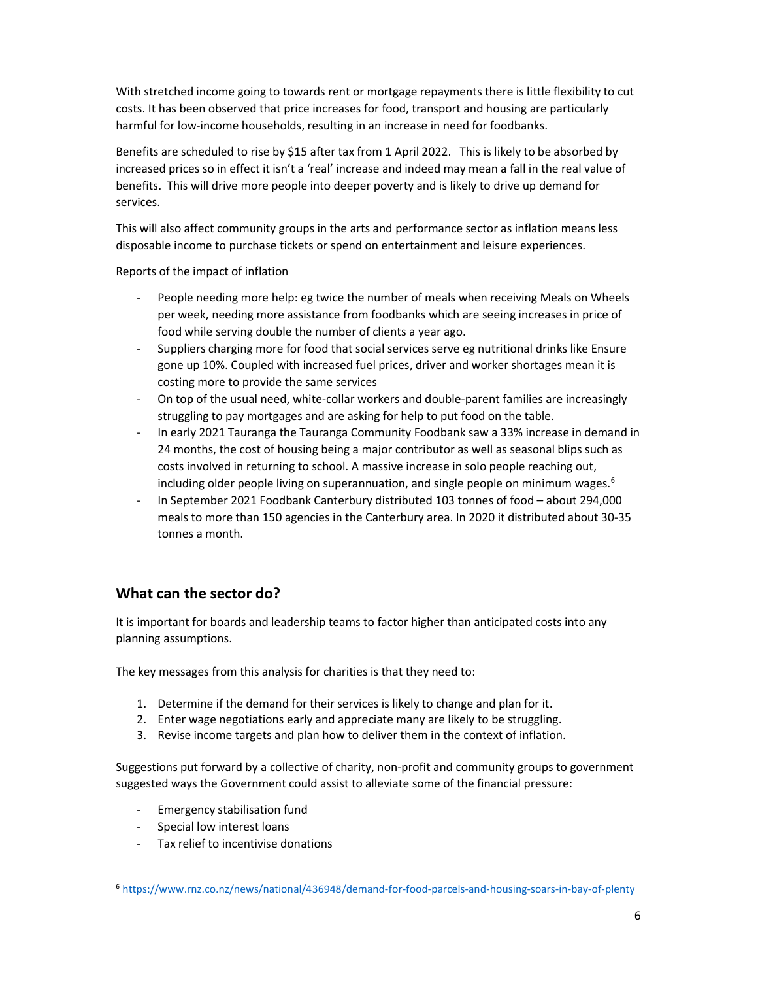With stretched income going to towards rent or mortgage repayments there is little flexibility to cut costs. It has been observed that price increases for food, transport and housing are particularly harmful for low-income households, resulting in an increase in need for foodbanks.

Benefits are scheduled to rise by \$15 after tax from 1 April 2022. This is likely to be absorbed by increased prices so in effect it isn't a 'real' increase and indeed may mean a fall in the real value of benefits. This will drive more people into deeper poverty and is likely to drive up demand for services.

This will also affect community groups in the arts and performance sector as inflation means less disposable income to purchase tickets or spend on entertainment and leisure experiences.

Reports of the impact of inflation

- People needing more help: eg twice the number of meals when receiving Meals on Wheels per week, needing more assistance from foodbanks which are seeing increases in price of food while serving double the number of clients a year ago.
- Suppliers charging more for food that social services serve eg nutritional drinks like Ensure gone up 10%. Coupled with increased fuel prices, driver and worker shortages mean it is costing more to provide the same services
- On top of the usual need, white-collar workers and double-parent families are increasingly struggling to pay mortgages and are asking for help to put food on the table.
- In early 2021 Tauranga the Tauranga Community Foodbank saw a 33% increase in demand in 24 months, the cost of housing being a major contributor as well as seasonal blips such as costs involved in returning to school. A massive increase in solo people reaching out, including older people living on superannuation, and single people on minimum wages.<sup>6</sup>
- In September 2021 Foodbank Canterbury distributed 103 tonnes of food about 294,000 meals to more than 150 agencies in the Canterbury area. In 2020 it distributed about 30-35 tonnes a month.

# What can the sector do?

It is important for boards and leadership teams to factor higher than anticipated costs into any planning assumptions.

The key messages from this analysis for charities is that they need to:

- 1. Determine if the demand for their services is likely to change and plan for it.
- 2. Enter wage negotiations early and appreciate many are likely to be struggling.
- 3. Revise income targets and plan how to deliver them in the context of inflation.

Suggestions put forward by a collective of charity, non-profit and community groups to government suggested ways the Government could assist to alleviate some of the financial pressure:

- Emergency stabilisation fund
- Special low interest loans

 $\overline{a}$ 

- Tax relief to incentivise donations

<sup>6</sup> https://www.rnz.co.nz/news/national/436948/demand-for-food-parcels-and-housing-soars-in-bay-of-plenty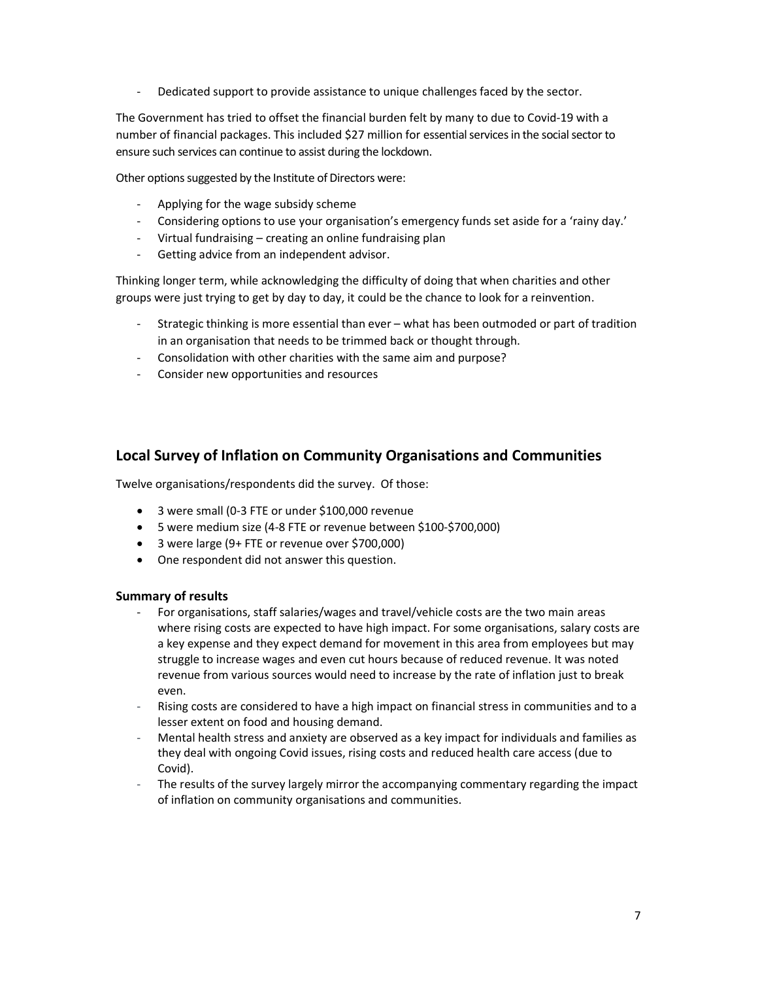- Dedicated support to provide assistance to unique challenges faced by the sector.

The Government has tried to offset the financial burden felt by many to due to Covid-19 with a number of financial packages. This included \$27 million for essential services in the social sector to ensure such services can continue to assist during the lockdown.

Other options suggested by the Institute of Directors were:

- Applying for the wage subsidy scheme
- Considering options to use your organisation's emergency funds set aside for a 'rainy day.'
- Virtual fundraising creating an online fundraising plan
- Getting advice from an independent advisor.

Thinking longer term, while acknowledging the difficulty of doing that when charities and other groups were just trying to get by day to day, it could be the chance to look for a reinvention.

- Strategic thinking is more essential than ever what has been outmoded or part of tradition in an organisation that needs to be trimmed back or thought through.
- Consolidation with other charities with the same aim and purpose?
- Consider new opportunities and resources

## Local Survey of Inflation on Community Organisations and Communities

Twelve organisations/respondents did the survey. Of those:

- 3 were small (0-3 FTE or under \$100,000 revenue
- 5 were medium size (4-8 FTE or revenue between \$100-\$700,000)
- 3 were large (9+ FTE or revenue over \$700,000)
- One respondent did not answer this question.

#### Summary of results

- For organisations, staff salaries/wages and travel/vehicle costs are the two main areas where rising costs are expected to have high impact. For some organisations, salary costs are a key expense and they expect demand for movement in this area from employees but may struggle to increase wages and even cut hours because of reduced revenue. It was noted revenue from various sources would need to increase by the rate of inflation just to break even.
- Rising costs are considered to have a high impact on financial stress in communities and to a lesser extent on food and housing demand.
- Mental health stress and anxiety are observed as a key impact for individuals and families as they deal with ongoing Covid issues, rising costs and reduced health care access (due to Covid).
- The results of the survey largely mirror the accompanying commentary regarding the impact of inflation on community organisations and communities.